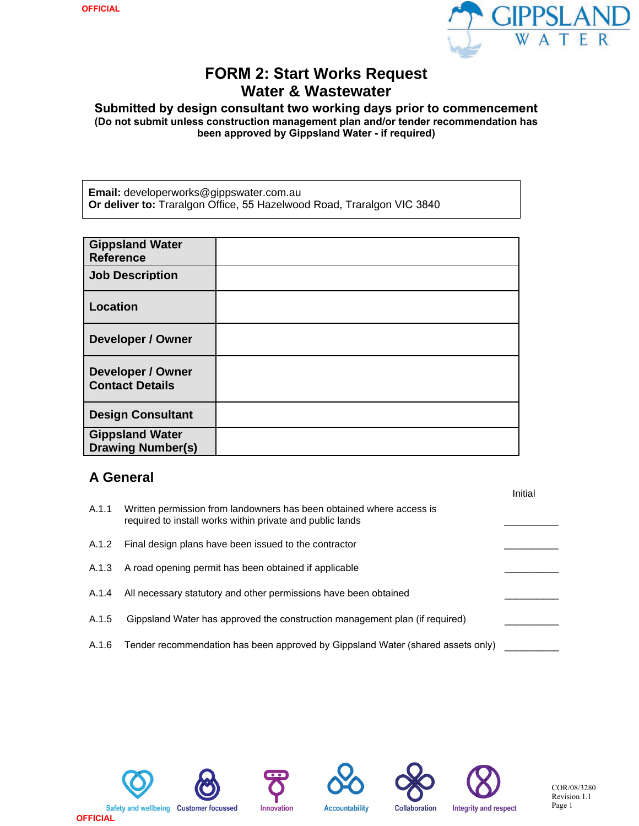

# **FORM 2: Start Works Request Water & Wastewater**

**Submitted by design consultant two working days prior to commencement (Do not submit unless construction management plan and/or tender recommendation has been approved by Gippsland Water - if required)**

**Email:** developerworks@gippswater.com.au **Or deliver to:** Traralgon Office, 55 Hazelwood Road, Traralgon VIC 3840

| <b>Gippsland Water</b><br><b>Reference</b>         |  |
|----------------------------------------------------|--|
| <b>Job Description</b>                             |  |
| <b>Location</b>                                    |  |
| Developer / Owner                                  |  |
| <b>Developer / Owner</b><br><b>Contact Details</b> |  |
| <b>Design Consultant</b>                           |  |
| <b>Gippsland Water</b><br><b>Drawing Number(s)</b> |  |

#### **A General**

|       |                                                                                                                                   | Initial |
|-------|-----------------------------------------------------------------------------------------------------------------------------------|---------|
| A.1.1 | Written permission from landowners has been obtained where access is<br>required to install works within private and public lands |         |
| A.1.2 | Final design plans have been issued to the contractor                                                                             |         |
| A.1.3 | A road opening permit has been obtained if applicable                                                                             |         |
| A.1.4 | All necessary statutory and other permissions have been obtained                                                                  |         |
| A.1.5 | Gippsland Water has approved the construction management plan (if required)                                                       |         |
| A.1.6 | Tender recommendation has been approved by Gippsland Water (shared assets only)                                                   |         |









**Accountability** 



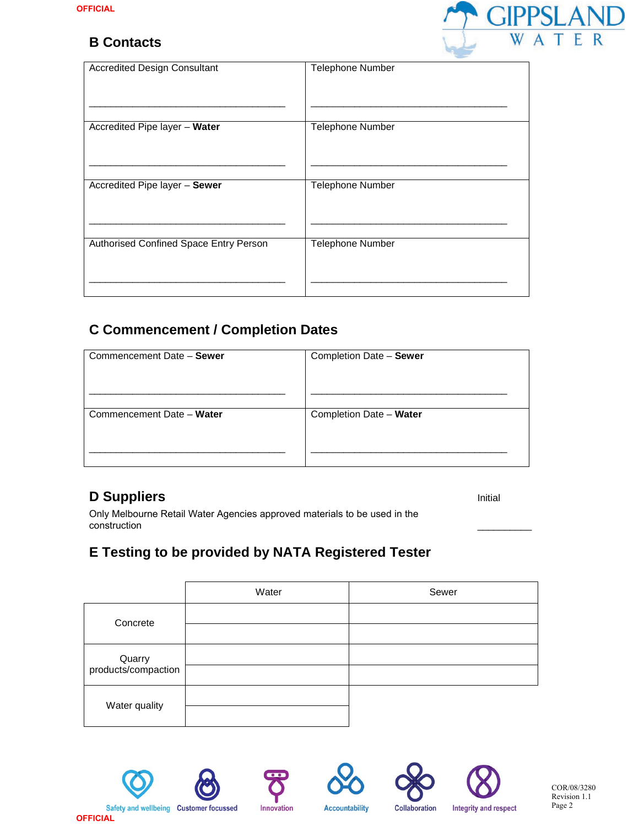#### **B Contacts**



| <b>Accredited Design Consultant</b>    | Telephone Number        |
|----------------------------------------|-------------------------|
| Accredited Pipe layer - Water          | <b>Telephone Number</b> |
| Accredited Pipe layer - Sewer          | <b>Telephone Number</b> |
| Authorised Confined Space Entry Person | <b>Telephone Number</b> |

# **C Commencement / Completion Dates**

| Commencement Date - Sewer | Completion Date - Sewer |
|---------------------------|-------------------------|
| Commencement Date - Water | Completion Date - Water |
|                           |                         |
|                           |                         |

### **D Suppliers**

Initial

\_\_\_\_\_\_\_\_\_\_

Only Melbourne Retail Water Agencies approved materials to be used in the construction

# **E Testing to be provided by NATA Registered Tester**

|                               | Water | Sewer |
|-------------------------------|-------|-------|
| Concrete                      |       |       |
|                               |       |       |
| Quarry<br>products/compaction |       |       |
|                               |       |       |
| Water quality                 |       |       |
|                               |       |       |